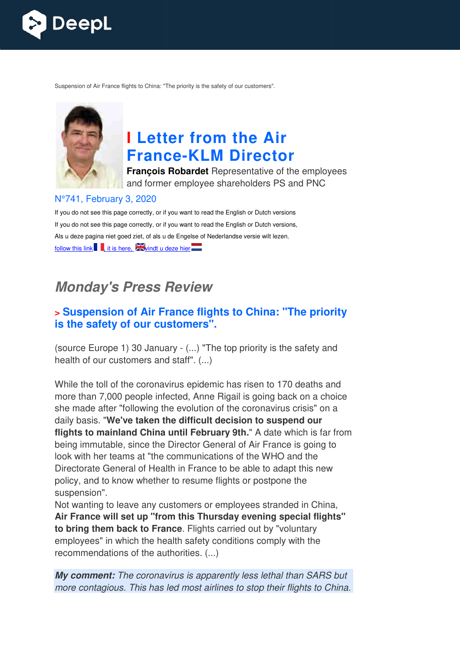

Suspension of Air France flights to China: "The priority is the safety of our customers".



# **I Letter from the Air France France-KLM Director**

**François Robardet** Representative of the employees and former employee shareholders PS and PNC

#### N°741, February 3, 2020

If you do not see this page correctly, or if you want to read the English or Dutch versions If you do not see this page correctly, or if you want to read the English or Dutch versions, Als u deze pagina niet goed ziet, of als u de Engelse of Nederlandse versie wilt lezen, follow this link  $\blacksquare$ , it is here,  $\blacktriangleright$  windt u deze hier

## **Monday's Press Review**

#### **> Suspension of Air France flights to China: "The priority is the safety of our customers".**

(source Europe 1) 30 January - (...) "The top priority is the safety and health of our customers and staff". (...)

While the toll of the coronavirus epidemic has risen to 170 deaths and more than 7,000 people infected, Anne Rigail is going back on a choice she made after "following the evolution of the coronavirus crisis" on a daily basis. "**We've taken the difficult decision to suspend our flights to mainland China until February 9th."** A date which is far from being immutable, since the Director General of Air France is going to look with her teams at "the communications of the WHO and the Directorate General of Health in France to be able to adapt this new policy, and to know whether to resume flights or postpone the suspension".

Not wanting to leave any customers or employees stranded in China, **Air France will set up "from this Thursday evening special flights" to bring them back to France** . Flights carried out by "voluntary employees" in which the health safety conditions comply with the recommendations of the authorities. (...)

**My comment:** *The coronavirus is apparently less lethal than SARS but more contagious. This has led most airlines to stop their flights to China.*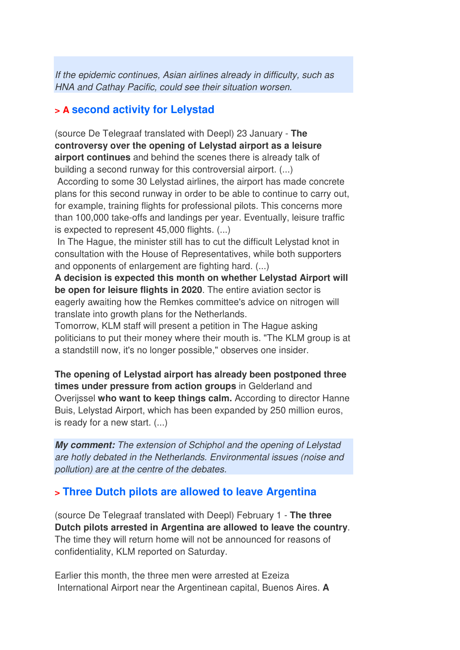*If the epidemic continues, Asian airlines already in difficulty, such as HNA and Cathay Pacific, could see their situation worsen.*

#### **> A second activity for Lelystad**

(source De Telegraaf translated with Deepl) 23 January - **The controversy over the opening of Lelystad airport as a leisure airport continues** and behind the scenes there is already talk of building a second runway for this controversial airport. (...)

 According to some 30 Lelystad airlines, the airport has made concrete plans for this second runway in order to be able to continue to carry out, for example, training flights for professional pilots. This concerns more than 100,000 take-offs and landings per year. Eventually, leisure traffic is expected to represent 45,000 flights. (...)

 In The Hague, the minister still has to cut the difficult Lelystad knot in consultation with the House of Representatives, while both supporters and opponents of enlargement are fighting hard. (...)

**A decision is expected this month on whether Lelystad Airport will be open for leisure flights in 2020**. The entire aviation sector is eagerly awaiting how the Remkes committee's advice on nitrogen will translate into growth plans for the Netherlands.

Tomorrow, KLM staff will present a petition in The Hague asking politicians to put their money where their mouth is. "The KLM group is at a standstill now, it's no longer possible," observes one insider.

**The opening of Lelystad airport has already been postponed three times under pressure from action groups** in Gelderland and Overijssel **who want to keep things calm.** According to director Hanne Buis, Lelystad Airport, which has been expanded by 250 million euros, is ready for a new start. (...)

**My comment:** *The extension of Schiphol and the opening of Lelystad are hotly debated in the Netherlands. Environmental issues (noise and pollution) are at the centre of the debates.*

#### **> Three Dutch pilots are allowed to leave Argentina**

(source De Telegraaf translated with Deepl) February 1 - **The three Dutch pilots arrested in Argentina are allowed to leave the country**. The time they will return home will not be announced for reasons of confidentiality, KLM reported on Saturday.

Earlier this month, the three men were arrested at Ezeiza International Airport near the Argentinean capital, Buenos Aires. **A**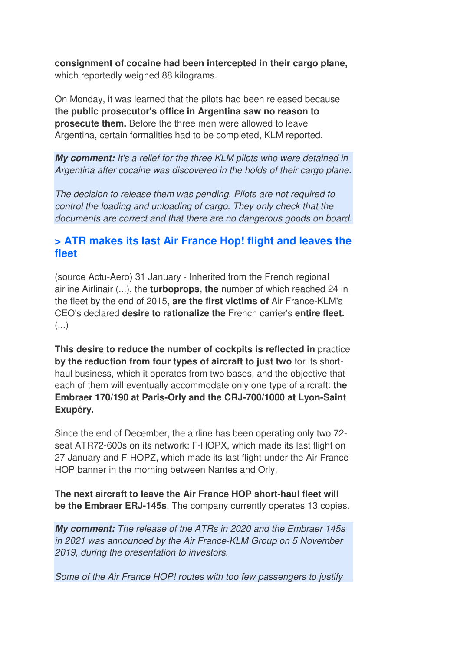**consignment of cocaine had been intercepted in their cargo plane,** which reportedly weighed 88 kilograms.

On Monday, it was learned that the pilots had been released because **the public prosecutor's office in Argentina saw no reason to prosecute them.** Before the three men were allowed to leave Argentina, certain formalities had to be completed, KLM reported.

**My comment:** *It's a relief for the three KLM pilots who were detained in Argentina after cocaine was discovered in the holds of their cargo plane.*

*The decision to release them was pending. Pilots are not required to control the loading and unloading of cargo. They only check that the documents are correct and that there are no dangerous goods on board.* 

#### **> ATR makes its last Air France Hop! flight and leaves the fleet**

(source Actu-Aero) 31 January - Inherited from the French regional airline Airlinair (...), the **turboprops, the** number of which reached 24 in the fleet by the end of 2015, **are the first victims of** Air France-KLM's CEO's declared **desire to rationalize the** French carrier's **entire fleet.**   $\left( \ldots \right)$ 

**This desire to reduce the number of cockpits is reflected in** practice **by the reduction from four types of aircraft to just two** for its shorthaul business, which it operates from two bases, and the objective that each of them will eventually accommodate only one type of aircraft: **the Embraer 170/190 at Paris-Orly and the CRJ-700/1000 at Lyon-Saint Exupéry.** 

Since the end of December, the airline has been operating only two 72 seat ATR72-600s on its network: F-HOPX, which made its last flight on 27 January and F-HOPZ, which made its last flight under the Air France HOP banner in the morning between Nantes and Orly.

**The next aircraft to leave the Air France HOP short-haul fleet will be the Embraer ERJ-145s**. The company currently operates 13 copies.

**My comment:** *The release of the ATRs in 2020 and the Embraer 145s in 2021 was announced by the Air France-KLM Group on 5 November 2019, during the presentation to investors.* 

*Some of the Air France HOP! routes with too few passengers to justify*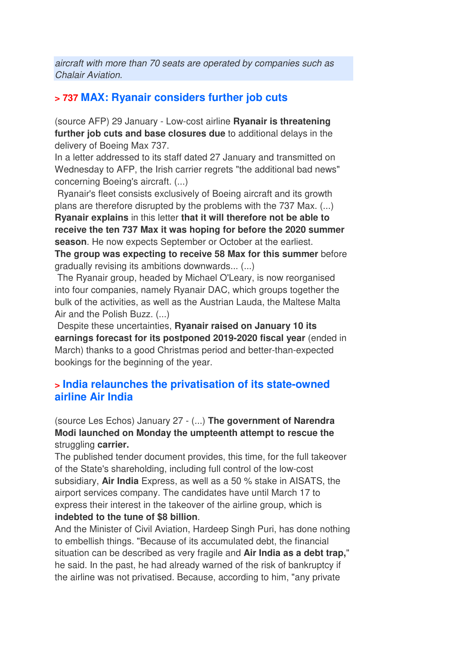*aircraft with more than 70 seats are operated by companies such as Chalair Aviation.*

#### **> 737 MAX: Ryanair considers further job cuts**

(source AFP) 29 January - Low-cost airline **Ryanair is threatening further job cuts and base closures due** to additional delays in the delivery of Boeing Max 737.

In a letter addressed to its staff dated 27 January and transmitted on Wednesday to AFP, the Irish carrier regrets "the additional bad news" concerning Boeing's aircraft. (...)

 Ryanair's fleet consists exclusively of Boeing aircraft and its growth plans are therefore disrupted by the problems with the 737 Max. (...) **Ryanair explains** in this letter **that it will therefore not be able to receive the ten 737 Max it was hoping for before the 2020 summer season**. He now expects September or October at the earliest.

**The group was expecting to receive 58 Max for this summer** before gradually revising its ambitions downwards... (...)

 The Ryanair group, headed by Michael O'Leary, is now reorganised into four companies, namely Ryanair DAC, which groups together the bulk of the activities, as well as the Austrian Lauda, the Maltese Malta Air and the Polish Buzz. (...)

 Despite these uncertainties, **Ryanair raised on January 10 its earnings forecast for its postponed 2019-2020 fiscal year** (ended in March) thanks to a good Christmas period and better-than-expected bookings for the beginning of the year.

#### **> India relaunches the privatisation of its state-owned airline Air India**

(source Les Echos) January 27 - (...) **The government of Narendra Modi launched on Monday the umpteenth attempt to rescue the** struggling **carrier.** 

The published tender document provides, this time, for the full takeover of the State's shareholding, including full control of the low-cost subsidiary, **Air India** Express, as well as a 50 % stake in AISATS, the airport services company. The candidates have until March 17 to express their interest in the takeover of the airline group, which is **indebted to the tune of \$8 billion**.

And the Minister of Civil Aviation, Hardeep Singh Puri, has done nothing to embellish things. "Because of its accumulated debt, the financial situation can be described as very fragile and **Air India as a debt trap,**" he said. In the past, he had already warned of the risk of bankruptcy if the airline was not privatised. Because, according to him, "any private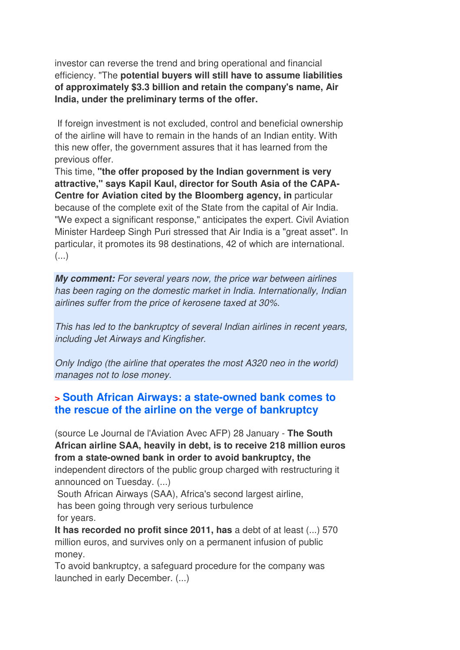investor can reverse the trend and bring operational and financial efficiency. "The **potential buyers will still have to assume liabilities of approximately \$3.3 billion and retain the company's name, Air India, under the preliminary terms of the offer.** 

 If foreign investment is not excluded, control and beneficial ownership of the airline will have to remain in the hands of an Indian entity. With this new offer, the government assures that it has learned from the previous offer.

This time, **"the offer proposed by the Indian government is very attractive," says Kapil Kaul, director for South Asia of the CAPA-Centre for Aviation cited by the Bloomberg agency, in** particular because of the complete exit of the State from the capital of Air India. "We expect a significant response," anticipates the expert. Civil Aviation Minister Hardeep Singh Puri stressed that Air India is a "great asset". In particular, it promotes its 98 destinations, 42 of which are international.  $($ ...)

**My comment:** *For several years now, the price war between airlines has been raging on the domestic market in India. Internationally, Indian airlines suffer from the price of kerosene taxed at 30%.* 

*This has led to the bankruptcy of several Indian airlines in recent years, including Jet Airways and Kingfisher.* 

*Only Indigo (the airline that operates the most A320 neo in the world) manages not to lose money.*

#### **> South African Airways: a state-owned bank comes to the rescue of the airline on the verge of bankruptcy**

(source Le Journal de l'Aviation Avec AFP) 28 January - **The South African airline SAA, heavily in debt, is to receive 218 million euros from a state-owned bank in order to avoid bankruptcy, the** independent directors of the public group charged with restructuring it announced on Tuesday. (...)

 South African Airways (SAA), Africa's second largest airline, has been going through very serious turbulence for years.

**It has recorded no profit since 2011, has** a debt of at least (...) 570 million euros, and survives only on a permanent infusion of public money.

To avoid bankruptcy, a safeguard procedure for the company was launched in early December. (...)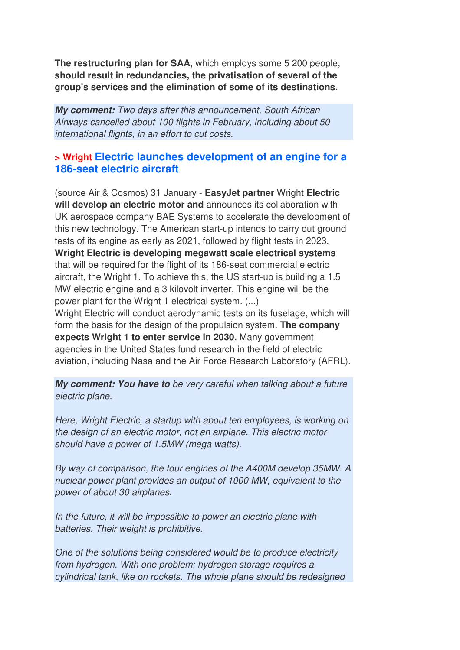**The restructuring plan for SAA**, which employs some 5 200 people, **should result in redundancies, the privatisation of several of the group's services and the elimination of some of its destinations.**

**My comment:** *Two days after this announcement, South African Airways cancelled about 100 flights in February, including about 50 international flights, in an effort to cut costs.*

#### **> Wright Electric launches development of an engine for a 186-seat electric aircraft**

(source Air & Cosmos) 31 January - **EasyJet partner** Wright **Electric will develop an electric motor and** announces its collaboration with UK aerospace company BAE Systems to accelerate the development of this new technology. The American start-up intends to carry out ground tests of its engine as early as 2021, followed by flight tests in 2023. **Wright Electric is developing megawatt scale electrical systems** that will be required for the flight of its 186-seat commercial electric aircraft, the Wright 1. To achieve this, the US start-up is building a 1.5 MW electric engine and a 3 kilovolt inverter. This engine will be the power plant for the Wright 1 electrical system. (...) Wright Electric will conduct aerodynamic tests on its fuselage, which will form the basis for the design of the propulsion system. **The company** 

**expects Wright 1 to enter service in 2030.** Many government agencies in the United States fund research in the field of electric aviation, including Nasa and the Air Force Research Laboratory (AFRL).

**My comment: You have to** *be very careful when talking about a future electric plane.* 

*Here, Wright Electric, a startup with about ten employees, is working on the design of an electric motor, not an airplane. This electric motor should have a power of 1.5MW (mega watts).* 

*By way of comparison, the four engines of the A400M develop 35MW. A nuclear power plant provides an output of 1000 MW, equivalent to the power of about 30 airplanes.* 

*In the future, it will be impossible to power an electric plane with batteries. Their weight is prohibitive.* 

*One of the solutions being considered would be to produce electricity from hydrogen. With one problem: hydrogen storage requires a cylindrical tank, like on rockets. The whole plane should be redesigned*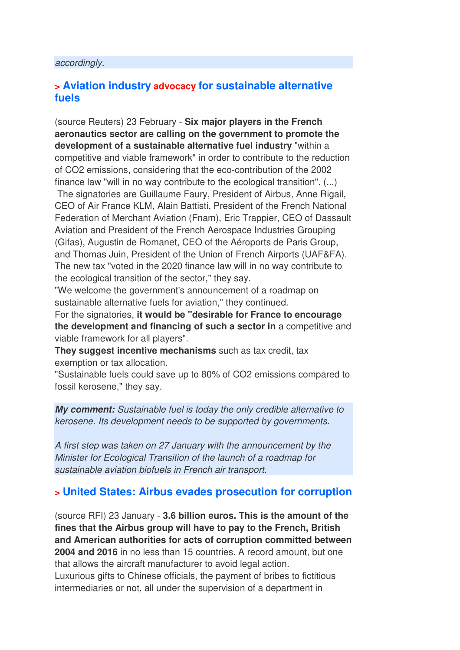#### *accordingly.*

#### **> Aviation industry advocacy for sustainable alternative fuels**

(source Reuters) 23 February - **Six major players in the French aeronautics sector are calling on the government to promote the development of a sustainable alternative fuel industry** "within a competitive and viable framework" in order to contribute to the reduction of CO2 emissions, considering that the eco-contribution of the 2002 finance law "will in no way contribute to the ecological transition". (...)

 The signatories are Guillaume Faury, President of Airbus, Anne Rigail, CEO of Air France KLM, Alain Battisti, President of the French National Federation of Merchant Aviation (Fnam), Eric Trappier, CEO of Dassault Aviation and President of the French Aerospace Industries Grouping (Gifas), Augustin de Romanet, CEO of the Aéroports de Paris Group, and Thomas Juin, President of the Union of French Airports (UAF&FA). The new tax "voted in the 2020 finance law will in no way contribute to the ecological transition of the sector," they say.

"We welcome the government's announcement of a roadmap on sustainable alternative fuels for aviation," they continued.

For the signatories, **it would be "desirable for France to encourage the development and financing of such a sector in** a competitive and viable framework for all players".

**They suggest incentive mechanisms** such as tax credit, tax exemption or tax allocation.

"Sustainable fuels could save up to 80% of CO2 emissions compared to fossil kerosene," they say.

**My comment:** *Sustainable fuel is today the only credible alternative to kerosene. Its development needs to be supported by governments.* 

*A first step was taken on 27 January with the announcement by the Minister for Ecological Transition of the launch of a roadmap for sustainable aviation biofuels in French air transport.*

#### **> United States: Airbus evades prosecution for corruption**

(source RFI) 23 January - **3.6 billion euros. This is the amount of the fines that the Airbus group will have to pay to the French, British and American authorities for acts of corruption committed between 2004 and 2016** in no less than 15 countries. A record amount, but one that allows the aircraft manufacturer to avoid legal action. Luxurious gifts to Chinese officials, the payment of bribes to fictitious intermediaries or not, all under the supervision of a department in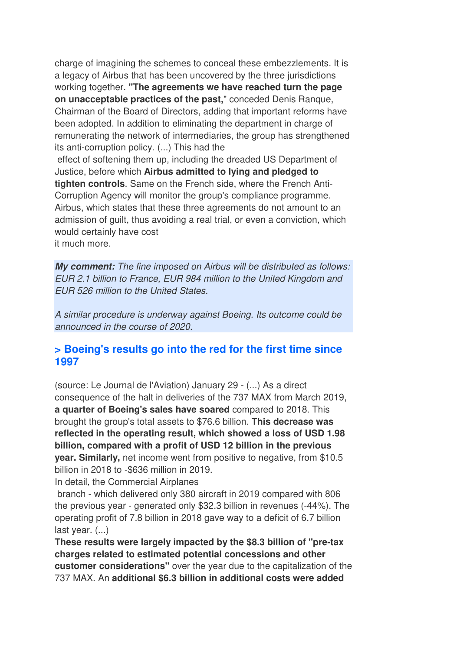charge of imagining the schemes to conceal these embezzlements. It is a legacy of Airbus that has been uncovered by the three jurisdictions working together. **"The agreements we have reached turn the page on unacceptable practices of the past,**" conceded Denis Ranque, Chairman of the Board of Directors, adding that important reforms have been adopted. In addition to eliminating the department in charge of remunerating the network of intermediaries, the group has strengthened its anti-corruption policy. (...) This had the effect of softening them up, including the dreaded US Department of Justice, before which **Airbus admitted to lying and pledged to tighten controls**. Same on the French side, where the French Anti-Corruption Agency will monitor the group's compliance programme. Airbus, which states that these three agreements do not amount to an admission of guilt, thus avoiding a real trial, or even a conviction, which would certainly have cost

it much more.

**My comment:** *The fine imposed on Airbus will be distributed as follows: EUR 2.1 billion to France, EUR 984 million to the United Kingdom and EUR 526 million to the United States.* 

*A similar procedure is underway against Boeing. Its outcome could be announced in the course of 2020.*

#### **> Boeing's results go into the red for the first time since 1997**

(source: Le Journal de l'Aviation) January 29 - (...) As a direct consequence of the halt in deliveries of the 737 MAX from March 2019, **a quarter of Boeing's sales have soared** compared to 2018. This brought the group's total assets to \$76.6 billion. **This decrease was reflected in the operating result, which showed a loss of USD 1.98 billion, compared with a profit of USD 12 billion in the previous year. Similarly,** net income went from positive to negative, from \$10.5 billion in 2018 to -\$636 million in 2019.

In detail, the Commercial Airplanes

 branch - which delivered only 380 aircraft in 2019 compared with 806 the previous year - generated only \$32.3 billion in revenues (-44%). The operating profit of 7.8 billion in 2018 gave way to a deficit of 6.7 billion last year. (...)

**These results were largely impacted by the \$8.3 billion of "pre-tax charges related to estimated potential concessions and other customer considerations"** over the year due to the capitalization of the 737 MAX. An **additional \$6.3 billion in additional costs were added**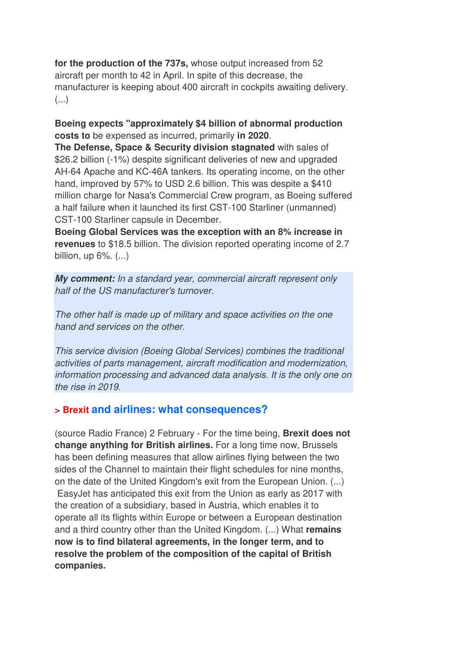**for the production of the 737s,** whose output increased from 52 aircraft per month to 42 in April. In spite of this decrease, the manufacturer is keeping about 400 aircraft in cockpits awaiting delivery. (...)

#### **Boeing expects "approximately \$4 billion of abnormal production costs to** be expensed as incurred, primarily **in 2020**.

**The Defense, Space & Security division stagnated** with sales of \$26.2 billion (-1%) despite significant deliveries of new and upgraded AH-64 Apache and KC-46A tankers. Its operating income, on the other hand, improved by 57% to USD 2.6 billion. This was despite a \$410 million charge for Nasa's Commercial Crew program, as Boeing suffered a half failure when it launched its first CST-100 Starliner (unmanned) CST-100 Starliner capsule in December.

**Boeing Global Services was the exception with an 8% increase in revenues** to \$18.5 billion. The division reported operating income of 2.7 billion, up 6%. (...)

**My comment:** *In a standard year, commercial aircraft represent only half of the US manufacturer's turnover.* 

*The other half is made up of military and space activities on the one hand and services on the other.* 

*This service division (Boeing Global Services) combines the traditional activities of parts management, aircraft modification and modernization, information processing and advanced data analysis. It is the only one on the rise in 2019.*

#### **> Brexit and airlines: what consequences?**

(source Radio France) 2 February - For the time being, **Brexit does not change anything for British airlines.** For a long time now, Brussels has been defining measures that allow airlines flying between the two sides of the Channel to maintain their flight schedules for nine months, on the date of the United Kingdom's exit from the European Union. (...) EasyJet has anticipated this exit from the Union as early as 2017 with the creation of a subsidiary, based in Austria, which enables it to operate all its flights within Europe or between a European destination and a third country other than the United Kingdom. (...) What **remains now is to find bilateral agreements, in the longer term, and to resolve the problem of the composition of the capital of British companies.**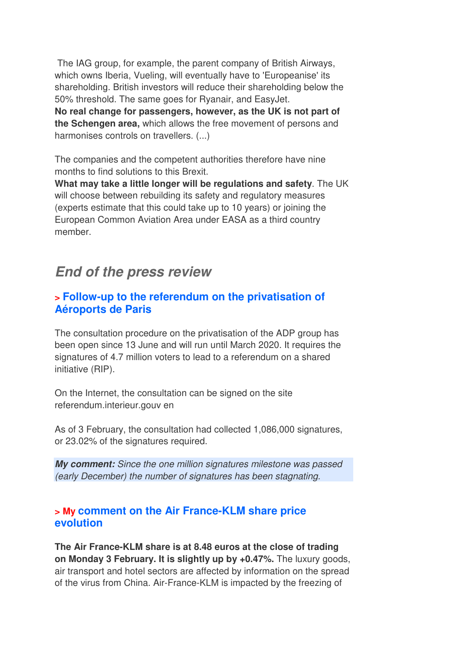The IAG group, for example, the parent company of British Airways, which owns Iberia, Vueling, will eventually have to 'Europeanise' its shareholding. British investors will reduce their shareholding below the 50% threshold. The same goes for Ryanair, and EasyJet. **No real change for passengers, however, as the UK is not part of the Schengen area,** which allows the free movement of persons and harmonises controls on travellers. (...)

The companies and the competent authorities therefore have nine months to find solutions to this Brexit.

**What may take a little longer will be regulations and safety**. The UK will choose between rebuilding its safety and regulatory measures (experts estimate that this could take up to 10 years) or joining the European Common Aviation Area under EASA as a third country member.

### **End of the press review**

#### **> Follow-up to the referendum on the privatisation of Aéroports de Paris**

The consultation procedure on the privatisation of the ADP group has been open since 13 June and will run until March 2020. It requires the signatures of 4.7 million voters to lead to a referendum on a shared initiative (RIP).

On the Internet, the consultation can be signed on the site referendum.interieur.gouv en

As of 3 February, the consultation had collected 1,086,000 signatures, or 23.02% of the signatures required.

**My comment:** *Since the one million signatures milestone was passed (early December) the number of signatures has been stagnating.*

#### **> My comment on the Air France-KLM share price evolution**

**The Air France-KLM share is at 8.48 euros at the close of trading on Monday 3 February. It is slightly up by +0.47%.** The luxury goods, air transport and hotel sectors are affected by information on the spread of the virus from China. Air-France-KLM is impacted by the freezing of